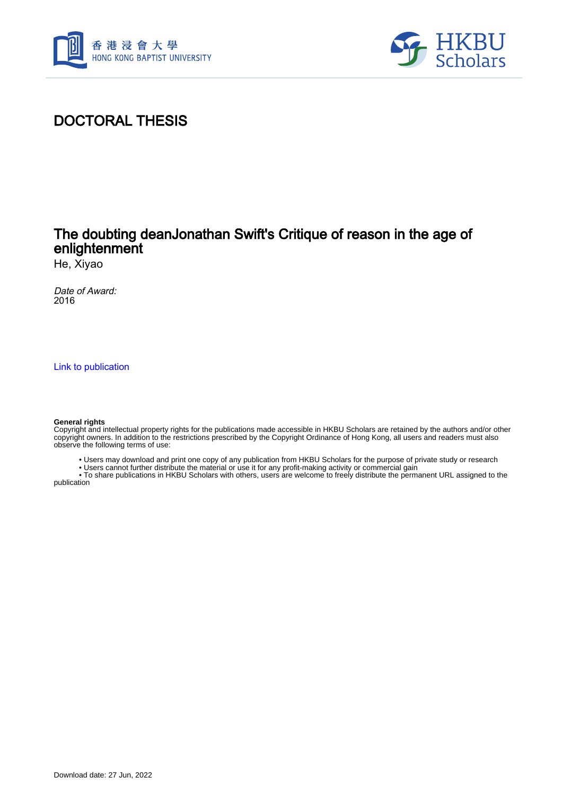



# DOCTORAL THESIS

### The doubting deanJonathan Swift's Critique of reason in the age of enlightenment

He, Xiyao

Date of Award: 2016

[Link to publication](https://scholars.hkbu.edu.hk/en/studentTheses/2ee896b4-37d8-467b-8ea4-a966e06d82b5)

#### **General rights**

Copyright and intellectual property rights for the publications made accessible in HKBU Scholars are retained by the authors and/or other copyright owners. In addition to the restrictions prescribed by the Copyright Ordinance of Hong Kong, all users and readers must also observe the following terms of use:

- Users may download and print one copy of any publication from HKBU Scholars for the purpose of private study or research
- Users cannot further distribute the material or use it for any profit-making activity or commercial gain

 • To share publications in HKBU Scholars with others, users are welcome to freely distribute the permanent URL assigned to the publication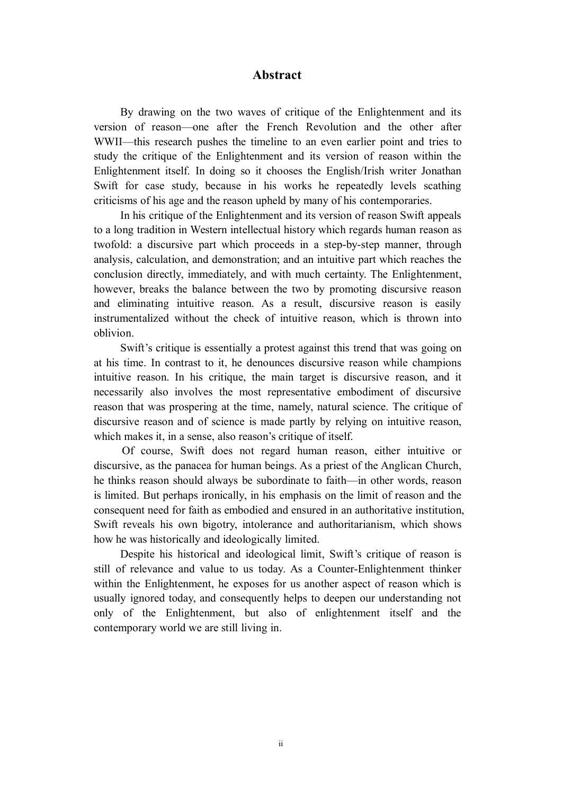### **Abstract**

By drawing on the two waves of critique of the Enlightenment and its version of reason—one after the French Revolution and the other after WWII—this research pushes the timeline to an even earlier point and tries to study the critique of the Enlightenment and its version of reason within the Enlightenment itself. In doing so it chooses the English/Irish writer Jonathan Swift for case study, because in his works he repeatedly levels scathing criticisms of his age and the reason upheld by many of his contemporaries.

In his critique of the Enlightenment and its version of reason Swift appeals to a long tradition in Western intellectual history which regards human reason as twofold: a discursive part which proceeds in a step-by-step manner, through analysis, calculation, and demonstration; and an intuitive part which reaches the conclusion directly, immediately, and with much certainty. The Enlightenment, however, breaks the balance between the two by promoting discursive reason and eliminating intuitive reason. As a result, discursive reason is easily instrumentalized without the check of intuitive reason, which is thrown into oblivion.

Swift's critique is essentially a protest against this trend that was going on at his time. In contrast to it, he denounces discursive reason while champions intuitive reason. In his critique, the main target is discursive reason, and it necessarily also involves the most representative embodiment of discursive reason that was prospering at the time, namely, natural science. The critique of discursive reason and of science is made partly by relying on intuitive reason, which makes it, in a sense, also reason's critique of itself.

Of course, Swift does not regard human reason, either intuitive or discursive, as the panacea for human beings. As a priest of the Anglican Church, he thinks reason should always be subordinate to faith—in other words, reason is limited. But perhaps ironically, in his emphasis on the limit of reason and the consequent need for faith as embodied and ensured in an authoritative institution, Swift reveals his own bigotry, intolerance and authoritarianism, which shows how he was historically and ideologically limited.

Despite his historical and ideological limit, Swift's critique of reason is still of relevance and value to us today. As a Counter-Enlightenment thinker within the Enlightenment, he exposes for us another aspect of reason which is usually ignored today, and consequently helps to deepen our understanding not only of the Enlightenment, but also of enlightenment itself and the contemporary world we are still living in.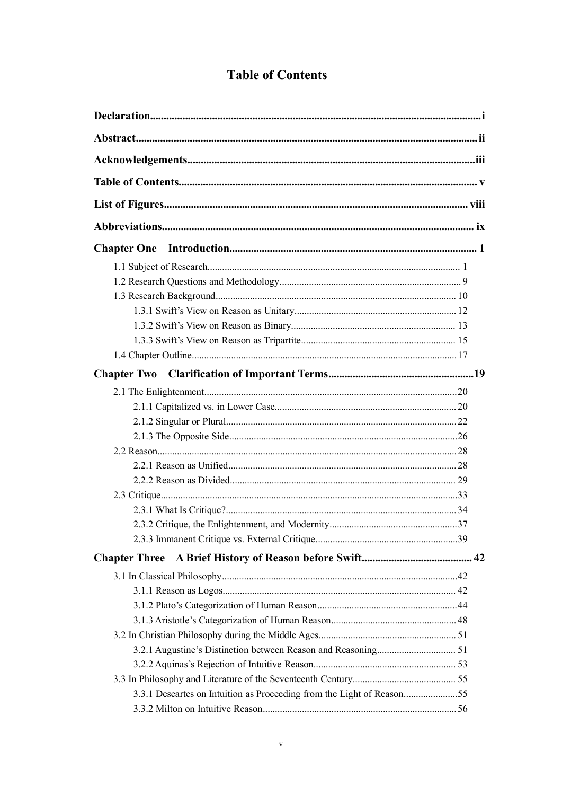## **Table of Contents**

| <b>Chapter One</b>                                                    |  |
|-----------------------------------------------------------------------|--|
|                                                                       |  |
|                                                                       |  |
|                                                                       |  |
|                                                                       |  |
|                                                                       |  |
|                                                                       |  |
|                                                                       |  |
| <b>Chapter Two</b>                                                    |  |
|                                                                       |  |
|                                                                       |  |
|                                                                       |  |
|                                                                       |  |
|                                                                       |  |
|                                                                       |  |
|                                                                       |  |
|                                                                       |  |
|                                                                       |  |
|                                                                       |  |
|                                                                       |  |
| <b>Chapter Three</b>                                                  |  |
|                                                                       |  |
|                                                                       |  |
|                                                                       |  |
|                                                                       |  |
|                                                                       |  |
|                                                                       |  |
|                                                                       |  |
|                                                                       |  |
| 3.3.1 Descartes on Intuition as Proceeding from the Light of Reason55 |  |
|                                                                       |  |